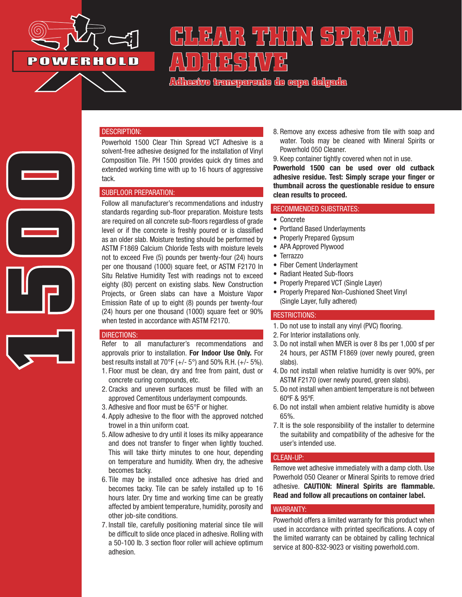

**1500**

# **CLEAR THIN SPREAD THESINAS**

**Adhesivo transparente de capa delgada**

#### DESCRIPTION:

Powerhold 1500 Clear Thin Spread VCT Adhesive is a solvent-free adhesive designed for the installation of Vinyl Composition Tile. PH 1500 provides quick dry times and extended working time with up to 16 hours of aggressive tack.

#### SUBFLOOR PREPARATION:

Follow all manufacturer's recommendations and industry standards regarding sub-floor preparation. Moisture tests are required on all concrete sub-floors regardless of grade level or if the concrete is freshly poured or is classified as an older slab. Moisture testing should be performed by ASTM F1869 Calcium Chloride Tests with moisture levels not to exceed Five (5) pounds per twenty-four (24) hours per one thousand (1000) square feet, or ASTM F2170 In Situ Relative Humidity Test with readings not to exceed eighty (80) percent on existing slabs. New Construction Projects, or Green slabs can have a Moisture Vapor Emission Rate of up to eight (8) pounds per twenty-four (24) hours per one thousand (1000) square feet or 90% when tested in accordance with ASTM F2170.

#### DIRECTIONS:

Refer to all manufacturer's recommendations and approvals prior to installation. For Indoor Use Only. For best results install at  $70^{\circ}F (+/- 5^{\circ})$  and  $50\%$  R.H.  $(+/- 5\%)$ . 1. Floor must be clean, dry and free from paint, dust or

- concrete curing compounds, etc.
- 2. Cracks and uneven surfaces must be filled with an approved Cementitous underlayment compounds.
- 3. Adhesive and floor must be 65°F or higher.
- 4. Apply adhesive to the floor with the approved notched trowel in a thin uniform coat.
- 5. Allow adhesive to dry until it loses its milky appearance and does not transfer to finger when lightly touched. This will take thirty minutes to one hour, depending on temperature and humidity. When dry, the adhesive becomes tacky.
- 6. Tile may be installed once adhesive has dried and becomes tacky. Tile can be safely installed up to 16 hours later. Dry time and working time can be greatly affected by ambient temperature, humidity, porosity and other job-site conditions.
- 7. Install tile, carefully positioning material since tile will be difficult to slide once placed in adhesive. Rolling with a 50-100 lb. 3 section floor roller will achieve optimum adhesion.
- 8. Remove any excess adhesive from tile with soap and water. Tools may be cleaned with Mineral Spirits or Powerhold 050 Cleaner.
- 9. Keep container tightly covered when not in use.

Powerhold 1500 can be used over old cutback adhesive residue. Test: Simply scrape your finger or thumbnail across the questionable residue to ensure clean results to proceed.

#### RECOMMENDED SUBSTRATES:

- Concrete
- Portland Based Underlayments
- Properly Prepared Gypsum
- APA Approved Plywood
- Terrazzo
- Fiber Cement Underlayment
- Radiant Heated Sub-floors
- Properly Prepared VCT (Single Layer)
- Properly Prepared Non-Cushioned Sheet Vinyl (Single Layer, fully adhered)

## RESTRICTIONS:

- 1. Do not use to install any vinyl (PVC) flooring.
- 2. For Interior installations only.
- 3. Do not install when MVER is over 8 lbs per 1,000 sf per 24 hours, per ASTM F1869 (over newly poured, green slabs).
- 4. Do not install when relative humidity is over 90%, per ASTM F2170 (over newly poured, green slabs).
- 5. Do not install when ambient temperature is not between 60ºF & 95ºF.
- 6. Do not install when ambient relative humidity is above 65%.
- 7. It is the sole responsibility of the installer to determine the suitability and compatibility of the adhesive for the user's intended use.

#### CLEAN-UP:

Remove wet adhesive immediately with a damp cloth. Use Powerhold 050 Cleaner or Mineral Spirits to remove dried adhesive. CAUTION: Mineral Spirits are flammable. Read and follow all precautions on container label.

#### WARRANTY:

Powerhold offers a limited warranty for this product when used in accordance with printed specifications. A copy of the limited warranty can be obtained by calling technical service at 800-832-9023 or visiting powerhold.com.